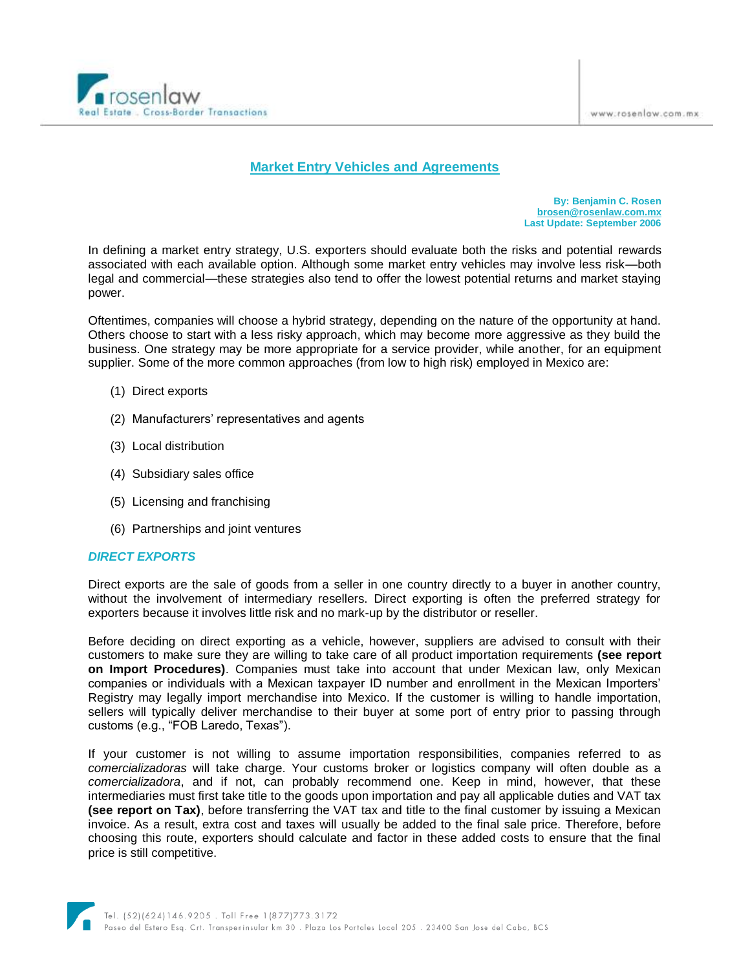

# **Market Entry Vehicles and Agreements**

**By: Benjamin C. Rosen [brosen@rosenlaw.com.mx](mailto:brosen@rosenlaw.com.mx) Last Update: September 2006**

In defining a market entry strategy, U.S. exporters should evaluate both the risks and potential rewards associated with each available option. Although some market entry vehicles may involve less risk—both legal and commercial—these strategies also tend to offer the lowest potential returns and market staying power.

Oftentimes, companies will choose a hybrid strategy, depending on the nature of the opportunity at hand. Others choose to start with a less risky approach, which may become more aggressive as they build the business. One strategy may be more appropriate for a service provider, while another, for an equipment supplier. Some of the more common approaches (from low to high risk) employed in Mexico are:

- (1) Direct exports
- (2) Manufacturers" representatives and agents
- (3) Local distribution
- (4) Subsidiary sales office
- (5) Licensing and franchising
- (6) Partnerships and joint ventures

#### *DIRECT EXPORTS*

Direct exports are the sale of goods from a seller in one country directly to a buyer in another country, without the involvement of intermediary resellers. Direct exporting is often the preferred strategy for exporters because it involves little risk and no mark-up by the distributor or reseller.

Before deciding on direct exporting as a vehicle, however, suppliers are advised to consult with their customers to make sure they are willing to take care of all product importation requirements **(see report on Import Procedures)**. Companies must take into account that under Mexican law, only Mexican companies or individuals with a Mexican taxpayer ID number and enrollment in the Mexican Importers" Registry may legally import merchandise into Mexico. If the customer is willing to handle importation, sellers will typically deliver merchandise to their buyer at some port of entry prior to passing through customs (e.g., "FOB Laredo, Texas").

If your customer is not willing to assume importation responsibilities, companies referred to as *comercializadoras* will take charge. Your customs broker or logistics company will often double as a *comercializadora*, and if not, can probably recommend one. Keep in mind, however, that these intermediaries must first take title to the goods upon importation and pay all applicable duties and VAT tax **(see report on Tax)**, before transferring the VAT tax and title to the final customer by issuing a Mexican invoice. As a result, extra cost and taxes will usually be added to the final sale price. Therefore, before choosing this route, exporters should calculate and factor in these added costs to ensure that the final price is still competitive.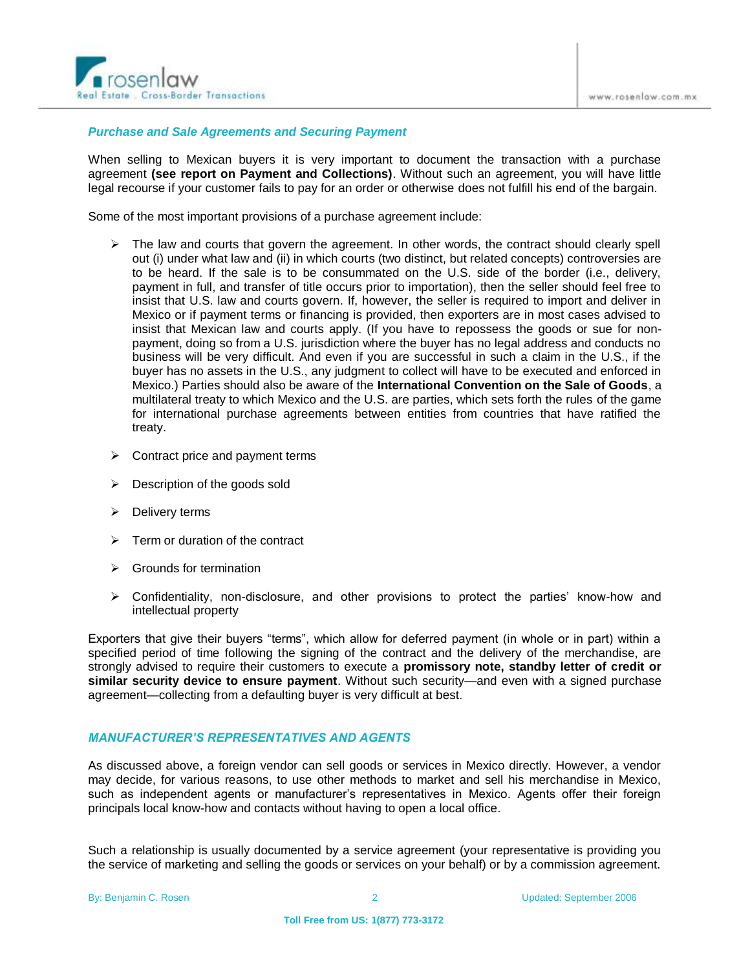

### *Purchase and Sale Agreements and Securing Payment*

When selling to Mexican buyers it is very important to document the transaction with a purchase agreement **(see report on Payment and Collections)**. Without such an agreement, you will have little legal recourse if your customer fails to pay for an order or otherwise does not fulfill his end of the bargain.

Some of the most important provisions of a purchase agreement include:

- $\triangleright$  The law and courts that govern the agreement. In other words, the contract should clearly spell out (i) under what law and (ii) in which courts (two distinct, but related concepts) controversies are to be heard. If the sale is to be consummated on the U.S. side of the border (i.e., delivery, payment in full, and transfer of title occurs prior to importation), then the seller should feel free to insist that U.S. law and courts govern. If, however, the seller is required to import and deliver in Mexico or if payment terms or financing is provided, then exporters are in most cases advised to insist that Mexican law and courts apply. (If you have to repossess the goods or sue for nonpayment, doing so from a U.S. jurisdiction where the buyer has no legal address and conducts no business will be very difficult. And even if you are successful in such a claim in the U.S., if the buyer has no assets in the U.S., any judgment to collect will have to be executed and enforced in Mexico.) Parties should also be aware of the **International Convention on the Sale of Goods**, a multilateral treaty to which Mexico and the U.S. are parties, which sets forth the rules of the game for international purchase agreements between entities from countries that have ratified the treaty.
- $\triangleright$  Contract price and payment terms
- $\triangleright$  Description of the goods sold
- $\triangleright$  Delivery terms
- $\triangleright$  Term or duration of the contract
- $\triangleright$  Grounds for termination
- $\triangleright$  Confidentiality, non-disclosure, and other provisions to protect the parties' know-how and intellectual property

Exporters that give their buyers "terms", which allow for deferred payment (in whole or in part) within a specified period of time following the signing of the contract and the delivery of the merchandise, are strongly advised to require their customers to execute a **promissory note, standby letter of credit or similar security device to ensure payment**. Without such security—and even with a signed purchase agreement—collecting from a defaulting buyer is very difficult at best.

### *MANUFACTURER'S REPRESENTATIVES AND AGENTS*

As discussed above, a foreign vendor can sell goods or services in Mexico directly. However, a vendor may decide, for various reasons, to use other methods to market and sell his merchandise in Mexico, such as independent agents or manufacturer's representatives in Mexico. Agents offer their foreign principals local know-how and contacts without having to open a local office.

Such a relationship is usually documented by a service agreement (your representative is providing you the service of marketing and selling the goods or services on your behalf) or by a commission agreement.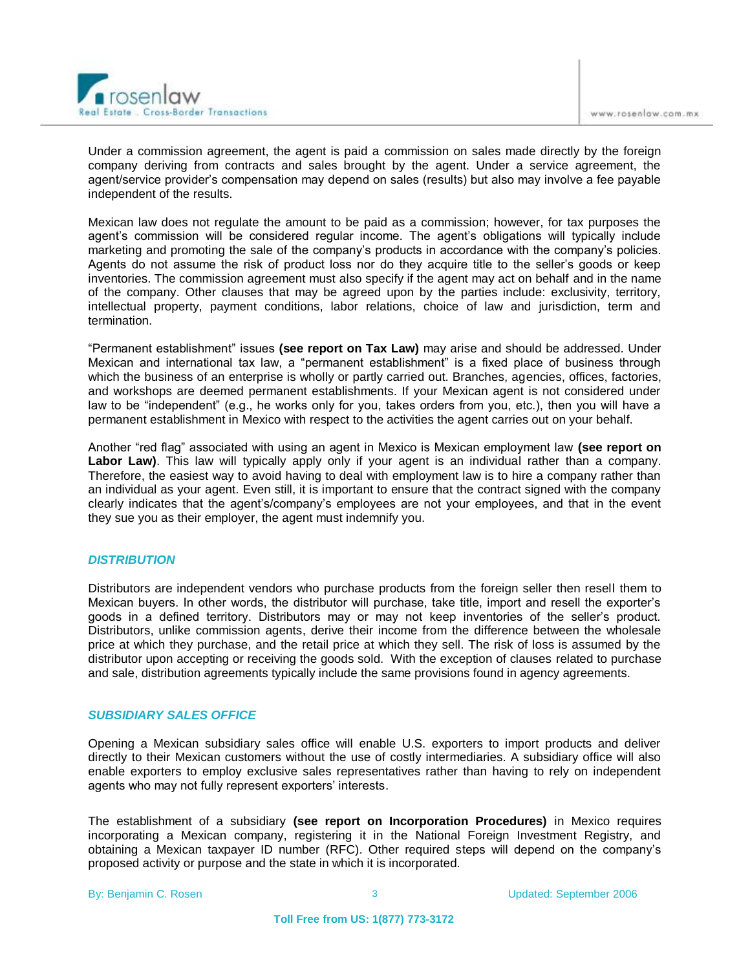

Under a commission agreement, the agent is paid a commission on sales made directly by the foreign company deriving from contracts and sales brought by the agent. Under a service agreement, the agent/service provider"s compensation may depend on sales (results) but also may involve a fee payable independent of the results.

Mexican law does not regulate the amount to be paid as a commission; however, for tax purposes the agent's commission will be considered regular income. The agent's obligations will typically include marketing and promoting the sale of the company's products in accordance with the company's policies. Agents do not assume the risk of product loss nor do they acquire title to the seller"s goods or keep inventories. The commission agreement must also specify if the agent may act on behalf and in the name of the company. Other clauses that may be agreed upon by the parties include: exclusivity, territory, intellectual property, payment conditions, labor relations, choice of law and jurisdiction, term and termination.

"Permanent establishment" issues **(see report on Tax Law)** may arise and should be addressed. Under Mexican and international tax law, a "permanent establishment" is a fixed place of business through which the business of an enterprise is wholly or partly carried out. Branches, agencies, offices, factories, and workshops are deemed permanent establishments. If your Mexican agent is not considered under law to be "independent" (e.g., he works only for you, takes orders from you, etc.), then you will have a permanent establishment in Mexico with respect to the activities the agent carries out on your behalf.

Another "red flag" associated with using an agent in Mexico is Mexican employment law **(see report on Labor Law)**. This law will typically apply only if your agent is an individual rather than a company. Therefore, the easiest way to avoid having to deal with employment law is to hire a company rather than an individual as your agent. Even still, it is important to ensure that the contract signed with the company clearly indicates that the agent"s/company"s employees are not your employees, and that in the event they sue you as their employer, the agent must indemnify you.

### *DISTRIBUTION*

Distributors are independent vendors who purchase products from the foreign seller then resell them to Mexican buyers. In other words, the distributor will purchase, take title, import and resell the exporter"s goods in a defined territory. Distributors may or may not keep inventories of the seller"s product. Distributors, unlike commission agents, derive their income from the difference between the wholesale price at which they purchase, and the retail price at which they sell. The risk of loss is assumed by the distributor upon accepting or receiving the goods sold. With the exception of clauses related to purchase and sale, distribution agreements typically include the same provisions found in agency agreements.

### *SUBSIDIARY SALES OFFICE*

Opening a Mexican subsidiary sales office will enable U.S. exporters to import products and deliver directly to their Mexican customers without the use of costly intermediaries. A subsidiary office will also enable exporters to employ exclusive sales representatives rather than having to rely on independent agents who may not fully represent exporters' interests.

The establishment of a subsidiary **(see report on Incorporation Procedures)** in Mexico requires incorporating a Mexican company, registering it in the National Foreign Investment Registry, and obtaining a Mexican taxpayer ID number (RFC). Other required steps will depend on the company"s proposed activity or purpose and the state in which it is incorporated.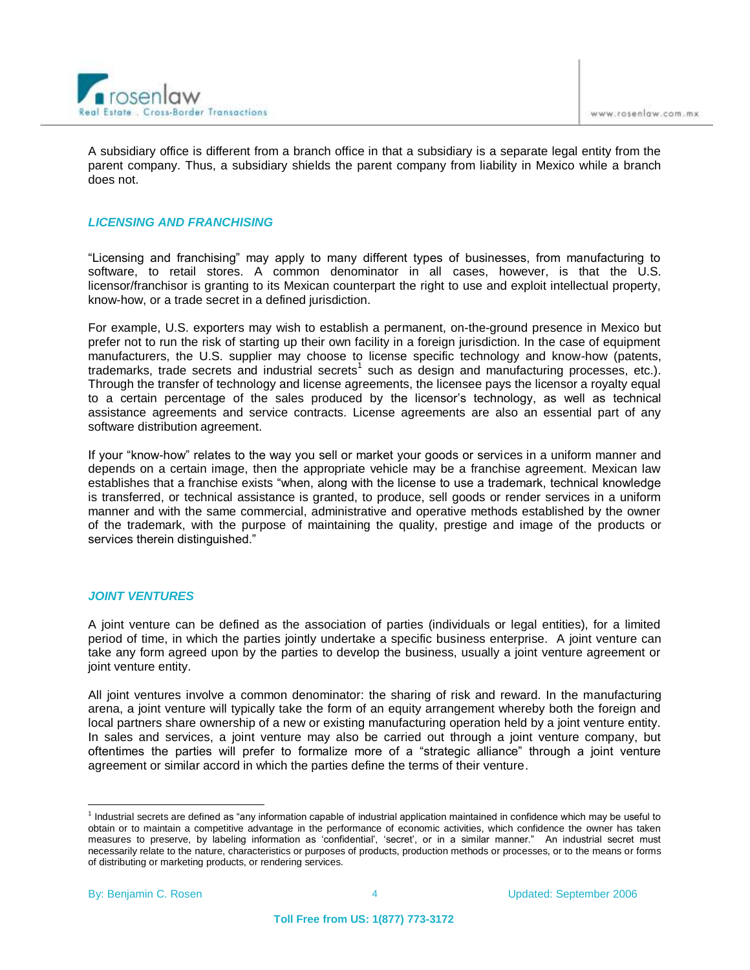

A subsidiary office is different from a branch office in that a subsidiary is a separate legal entity from the parent company. Thus, a subsidiary shields the parent company from liability in Mexico while a branch does not.

## *LICENSING AND FRANCHISING*

"Licensing and franchising" may apply to many different types of businesses, from manufacturing to software, to retail stores. A common denominator in all cases, however, is that the U.S. licensor/franchisor is granting to its Mexican counterpart the right to use and exploit intellectual property, know-how, or a trade secret in a defined jurisdiction.

For example, U.S. exporters may wish to establish a permanent, on-the-ground presence in Mexico but prefer not to run the risk of starting up their own facility in a foreign jurisdiction. In the case of equipment manufacturers, the U.S. supplier may choose to license specific technology and know-how (patents, trademarks, trade secrets and industrial secrets<sup>1</sup> such as design and manufacturing processes, etc.). Through the transfer of technology and license agreements, the licensee pays the licensor a royalty equal to a certain percentage of the sales produced by the licensor"s technology, as well as technical assistance agreements and service contracts. License agreements are also an essential part of any software distribution agreement.

If your "know-how" relates to the way you sell or market your goods or services in a uniform manner and depends on a certain image, then the appropriate vehicle may be a franchise agreement. Mexican law establishes that a franchise exists "when, along with the license to use a trademark, technical knowledge is transferred, or technical assistance is granted, to produce, sell goods or render services in a uniform manner and with the same commercial, administrative and operative methods established by the owner of the trademark, with the purpose of maintaining the quality, prestige and image of the products or services therein distinguished."

### *JOINT VENTURES*

A joint venture can be defined as the association of parties (individuals or legal entities), for a limited period of time, in which the parties jointly undertake a specific business enterprise. A joint venture can take any form agreed upon by the parties to develop the business, usually a joint venture agreement or joint venture entity.

All joint ventures involve a common denominator: the sharing of risk and reward. In the manufacturing arena, a joint venture will typically take the form of an equity arrangement whereby both the foreign and local partners share ownership of a new or existing manufacturing operation held by a joint venture entity. In sales and services, a joint venture may also be carried out through a joint venture company, but oftentimes the parties will prefer to formalize more of a "strategic alliance" through a joint venture agreement or similar accord in which the parties define the terms of their venture.

 $\overline{a}$ 

<sup>&</sup>lt;sup>1</sup> Industrial secrets are defined as "any information capable of industrial application maintained in confidence which may be useful to obtain or to maintain a competitive advantage in the performance of economic activities, which confidence the owner has taken measures to preserve, by labeling information as "confidential", "secret", or in a similar manner." An industrial secret must necessarily relate to the nature, characteristics or purposes of products, production methods or processes, or to the means or forms of distributing or marketing products, or rendering services.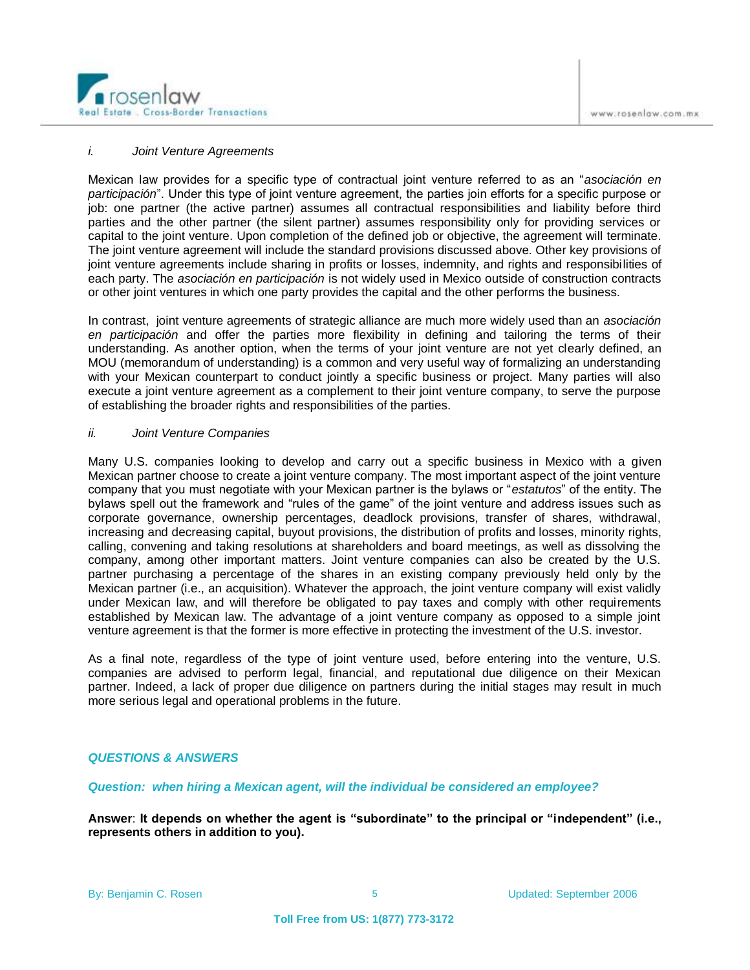

#### *i. Joint Venture Agreements*

Mexican law provides for a specific type of contractual joint venture referred to as an "*asociación en participación*". Under this type of joint venture agreement, the parties join efforts for a specific purpose or job: one partner (the active partner) assumes all contractual responsibilities and liability before third parties and the other partner (the silent partner) assumes responsibility only for providing services or capital to the joint venture. Upon completion of the defined job or objective, the agreement will terminate. The joint venture agreement will include the standard provisions discussed above. Other key provisions of joint venture agreements include sharing in profits or losses, indemnity, and rights and responsibilities of each party. The *asociación en participación* is not widely used in Mexico outside of construction contracts or other joint ventures in which one party provides the capital and the other performs the business.

In contrast, joint venture agreements of strategic alliance are much more widely used than an *asociación en participación* and offer the parties more flexibility in defining and tailoring the terms of their understanding. As another option, when the terms of your joint venture are not yet clearly defined, an MOU (memorandum of understanding) is a common and very useful way of formalizing an understanding with your Mexican counterpart to conduct jointly a specific business or project. Many parties will also execute a joint venture agreement as a complement to their joint venture company, to serve the purpose of establishing the broader rights and responsibilities of the parties.

#### *ii. Joint Venture Companies*

Many U.S. companies looking to develop and carry out a specific business in Mexico with a given Mexican partner choose to create a joint venture company. The most important aspect of the joint venture company that you must negotiate with your Mexican partner is the bylaws or "*estatutos*" of the entity. The bylaws spell out the framework and "rules of the game" of the joint venture and address issues such as corporate governance, ownership percentages, deadlock provisions, transfer of shares, withdrawal, increasing and decreasing capital, buyout provisions, the distribution of profits and losses, minority rights, calling, convening and taking resolutions at shareholders and board meetings, as well as dissolving the company, among other important matters. Joint venture companies can also be created by the U.S. partner purchasing a percentage of the shares in an existing company previously held only by the Mexican partner (i.e., an acquisition). Whatever the approach, the joint venture company will exist validly under Mexican law, and will therefore be obligated to pay taxes and comply with other requirements established by Mexican law. The advantage of a joint venture company as opposed to a simple joint venture agreement is that the former is more effective in protecting the investment of the U.S. investor.

As a final note, regardless of the type of joint venture used, before entering into the venture, U.S. companies are advised to perform legal, financial, and reputational due diligence on their Mexican partner. Indeed, a lack of proper due diligence on partners during the initial stages may result in much more serious legal and operational problems in the future.

#### *QUESTIONS & ANSWERS*

*Question: when hiring a Mexican agent, will the individual be considered an employee?*

**Answer**: **It depends on whether the agent is "subordinate" to the principal or "independent" (i.e., represents others in addition to you).**